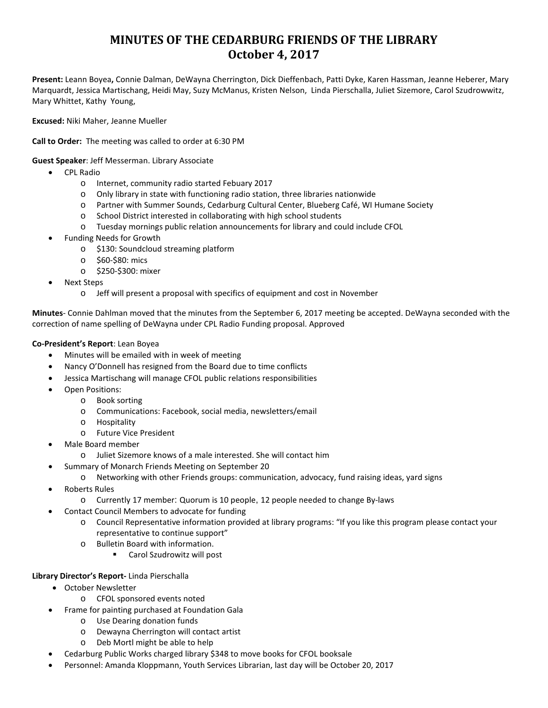# **MINUTES OF THE CEDARBURG FRIENDS OF THE LIBRARY October 4, 2017**

**Present:** Leann Boyea**,** Connie Dalman, DeWayna Cherrington, Dick Dieffenbach, Patti Dyke, Karen Hassman, Jeanne Heberer, Mary Marquardt, Jessica Martischang, Heidi May, Suzy McManus, Kristen Nelson, Linda Pierschalla, Juliet Sizemore, Carol Szudrowwitz, Mary Whittet, Kathy Young,

**Excused:** Niki Maher, Jeanne Mueller

**Call to Order:** The meeting was called to order at 6:30 PM

**Guest Speaker**: Jeff Messerman. Library Associate

- CPL Radio
	- o Internet, community radio started Febuary 2017
	- $\circ$  Only library in state with functioning radio station, three libraries nationwide
	- o Partner with Summer Sounds, Cedarburg Cultural Center, Blueberg Café, WI Humane Society
	- o School District interested in collaborating with high school students
	- o Tuesday mornings public relation announcements for library and could include CFOL
- Funding Needs for Growth
	- o \$130: Soundcloud streaming platform
	- o \$60-\$80: mics
	- o \$250-\$300: mixer
- Next Steps
	- o Jeff will present a proposal with specifics of equipment and cost in November

**Minutes**- Connie Dahlman moved that the minutes from the September 6, 2017 meeting be accepted. DeWayna seconded with the correction of name spelling of DeWayna under CPL Radio Funding proposal. Approved

#### **Co-President's Report**: Lean Boyea

- Minutes will be emailed with in week of meeting
- Nancy O'Donnell has resigned from the Board due to time conflicts
- Jessica Martischang will manage CFOL public relations responsibilities
- Open Positions:
	- o Book sorting
	- o Communications: Facebook, social media, newsletters/email
	- o Hospitality
	- o Future Vice President
- Male Board member
	- o Juliet Sizemore knows of a male interested. She will contact him
- Summary of Monarch Friends Meeting on September 20
	- o Networking with other Friends groups: communication, advocacy, fund raising ideas, yard signs
- Roberts Rules
	- o Currently 17 member: Quorum is 10 people, 12 people needed to change By-laws
	- Contact Council Members to advocate for funding
		- o Council Representative information provided at library programs: "If you like this program please contact your representative to continue support"
		- o Bulletin Board with information.
			- Carol Szudrowitz will post

#### **Library Director's Report-** Linda Pierschalla

- October Newsletter
	- o CFOL sponsored events noted
- Frame for painting purchased at Foundation Gala
	- o Use Dearing donation funds
	- o Dewayna Cherrington will contact artist
	- o Deb Mortl might be able to help
- Cedarburg Public Works charged library \$348 to move books for CFOL booksale
- Personnel: Amanda Kloppmann, Youth Services Librarian, last day will be October 20, 2017